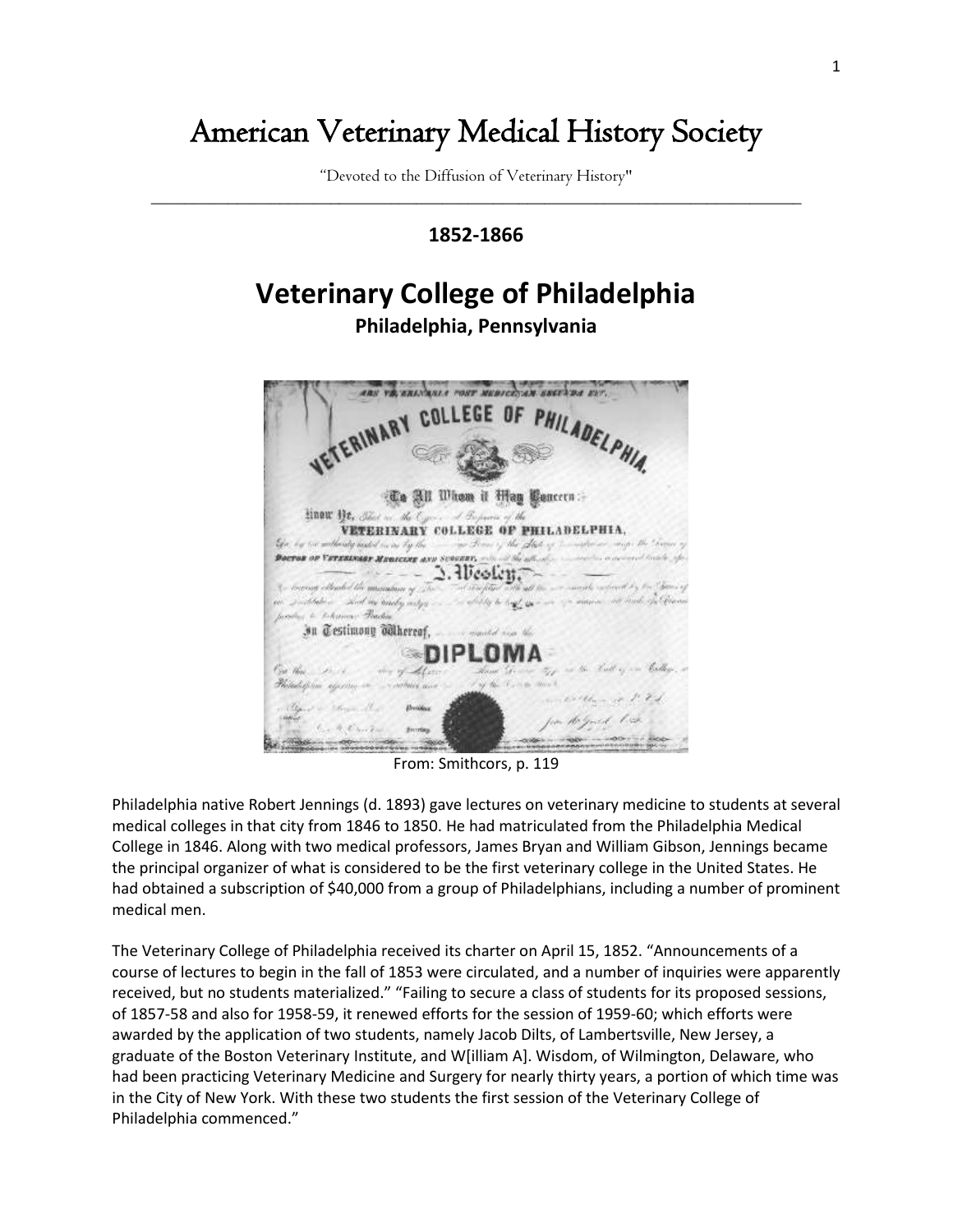## American Veterinary Medical History Society

"Devoted to the Diffusion of Veterinary History" \_\_\_\_\_\_\_\_\_\_\_\_\_\_\_\_\_\_\_\_\_\_\_\_\_\_\_\_\_\_\_\_\_\_\_\_\_\_\_\_\_\_\_\_\_\_\_\_\_\_\_\_\_\_\_\_\_\_\_\_\_\_\_\_\_\_\_\_\_\_\_\_\_\_\_\_

## **1852-1866**

## **Veterinary College of Philadelphia Philadelphia, Pennsylvania**



From: Smithcors, p. 119

Philadelphia native Robert Jennings (d. 1893) gave lectures on veterinary medicine to students at several medical colleges in that city from 1846 to 1850. He had matriculated from the Philadelphia Medical College in 1846. Along with two medical professors, James Bryan and William Gibson, Jennings became the principal organizer of what is considered to be the first veterinary college in the United States. He had obtained a subscription of \$40,000 from a group of Philadelphians, including a number of prominent medical men.

The Veterinary College of Philadelphia received its charter on April 15, 1852. "Announcements of a course of lectures to begin in the fall of 1853 were circulated, and a number of inquiries were apparently received, but no students materialized." "Failing to secure a class of students for its proposed sessions, of 1857-58 and also for 1958-59, it renewed efforts for the session of 1959-60; which efforts were awarded by the application of two students, namely Jacob Dilts, of Lambertsville, New Jersey, a graduate of the Boston Veterinary Institute, and W[illiam A]. Wisdom, of Wilmington, Delaware, who had been practicing Veterinary Medicine and Surgery for nearly thirty years, a portion of which time was in the City of New York. With these two students the first session of the Veterinary College of Philadelphia commenced."